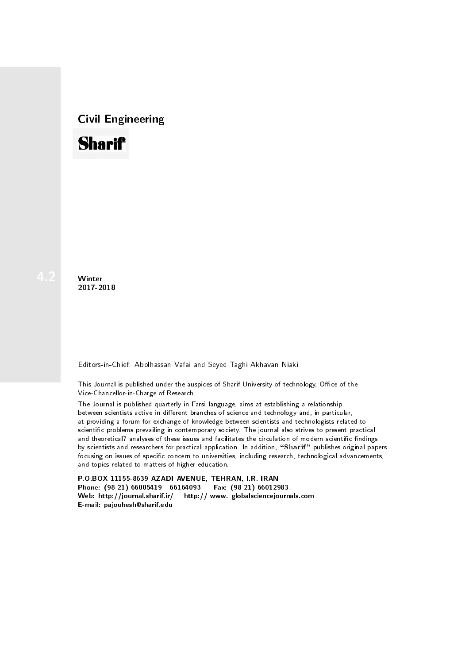## Civil Engineering



**Winter** 2017-2018

Editors-in-Chief: Abolhassan Vafai and Seyed Taghi Akhavan Niaki

This Journal is published under the auspices of Sharif University of technology, Office of the Vice-Chancellor-in-Charge of Research.

The Journal is published quarterly in Farsi language, aims at establishing a relationship between scientists active in different branches of science and technology and, in particular, at providing a forum for exchange of knowledge between scientists and technologists related to scientic problems prevailing in contemporary society. The journal also strives to present practical and theoretical7 analyses of these issues and facilitates the circulation of modern scientific findings by scientists and researchers for practical application. In addition, "Sharif" publishes original papers focusing on issues of specific concern to universities, including research, technological advancements, and topics related to matters of higher education.

P.O.BOX 11155-8639 AZADI AVENUE, TEHRAN, I.R. IRAN Phone: (98-21) 66005419 - 66164093 Fax: (98-21) 66012983 Web: http://journal.sharif.ir/ http:// www. globalsciencejournals.com E-mail: pajouhesh@sharif.edu